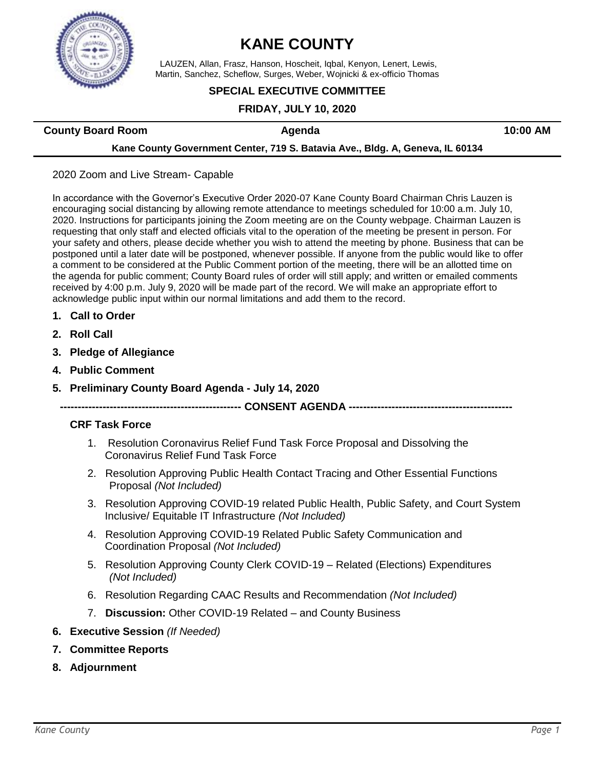

# **KANE COUNTY**

LAUZEN, Allan, Frasz, Hanson, Hoscheit, Iqbal, Kenyon, Lenert, Lewis, Martin, Sanchez, Scheflow, Surges, Weber, Wojnicki & ex-officio Thomas

### **SPECIAL EXECUTIVE COMMITTEE**

### **FRIDAY, JULY 10, 2020**

**County Board Room Agenda Agenda 10:00 AM** 

### **Kane County Government Center, 719 S. Batavia Ave., Bldg. A, Geneva, IL 60134**

### 2020 Zoom and Live Stream- Capable

In accordance with the Governor's Executive Order 2020-07 Kane County Board Chairman Chris Lauzen is encouraging social distancing by allowing remote attendance to meetings scheduled for 10:00 a.m. July 10, 2020. Instructions for participants joining the Zoom meeting are on the County webpage. Chairman Lauzen is requesting that only staff and elected officials vital to the operation of the meeting be present in person. For your safety and others, please decide whether you wish to attend the meeting by phone. Business that can be postponed until a later date will be postponed, whenever possible. If anyone from the public would like to offer a comment to be considered at the Public Comment portion of the meeting, there will be an allotted time on the agenda for public comment; County Board rules of order will still apply; and written or emailed comments received by 4:00 p.m. July 9, 2020 will be made part of the record. We will make an appropriate effort to acknowledge public input within our normal limitations and add them to the record.

- **1. Call to Order**
- **2. Roll Call**
- **3. Pledge of Allegiance**
- **4. Public Comment**
- **5. Preliminary County Board Agenda - July 14, 2020**

### **--------------------------------------------------- CONSENT AGENDA ----------------------------------------------**

### **CRF Task Force**

- 1. Resolution Coronavirus Relief Fund Task Force Proposal and Dissolving the Coronavirus Relief Fund Task Force
- 2. Resolution Approving Public Health Contact Tracing and Other Essential Functions Proposal *(Not Included)*
- 3. Resolution Approving COVID-19 related Public Health, Public Safety, and Court System Inclusive/ Equitable IT Infrastructure *(Not Included)*
- 4. Resolution Approving COVID-19 Related Public Safety Communication and Coordination Proposal *(Not Included)*
- 5. Resolution Approving County Clerk COVID-19 Related (Elections) Expenditures *(Not Included)*
- 6. Resolution Regarding CAAC Results and Recommendation *(Not Included)*
- 7. **Discussion:** Other COVID-19 Related and County Business
- **6. Executive Session** *(If Needed)*
- **7. Committee Reports**
- **8. Adjournment**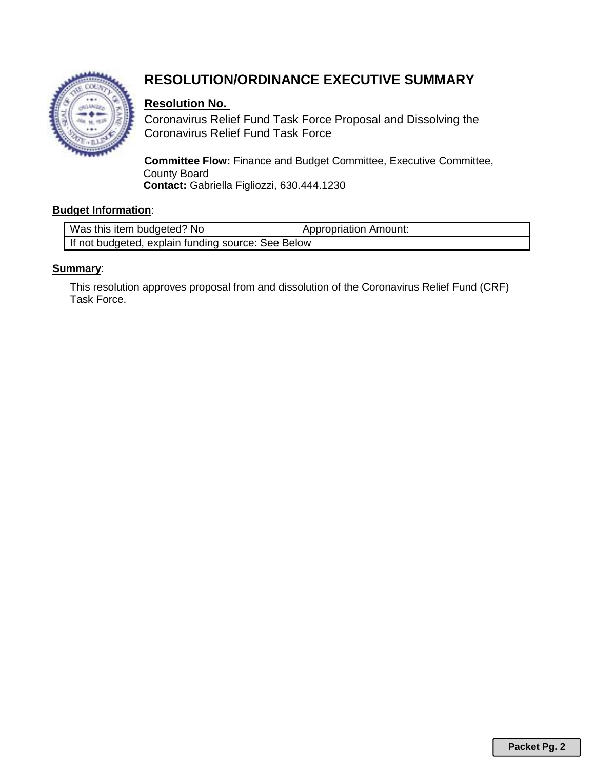

## **RESOLUTION/ORDINANCE EXECUTIVE SUMMARY**

## **Resolution No.**

Coronavirus Relief Fund Task Force Proposal and Dissolving the Coronavirus Relief Fund Task Force

**Committee Flow:** Finance and Budget Committee, Executive Committee, County Board **Contact:** Gabriella Figliozzi, 630.444.1230

### **Budget Information**:

| Was this item budgeted? No                         | <b>Appropriation Amount:</b> |  |
|----------------------------------------------------|------------------------------|--|
| If not budgeted, explain funding source: See Below |                              |  |

### **Summary**:

This resolution approves proposal from and dissolution of the Coronavirus Relief Fund (CRF) Task Force.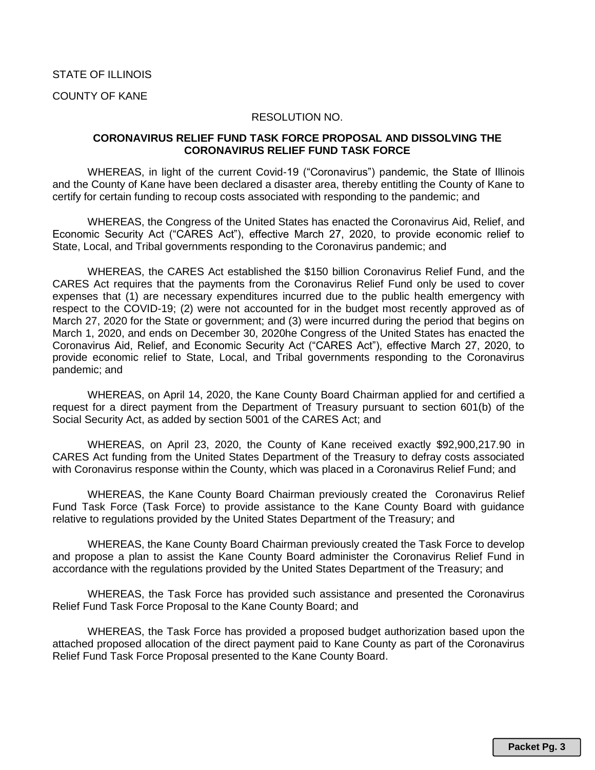### COUNTY OF KANE

### RESOLUTION NO.

### **CORONAVIRUS RELIEF FUND TASK FORCE PROPOSAL AND DISSOLVING THE CORONAVIRUS RELIEF FUND TASK FORCE**

WHEREAS, in light of the current Covid-19 ("Coronavirus") pandemic, the State of Illinois and the County of Kane have been declared a disaster area, thereby entitling the County of Kane to certify for certain funding to recoup costs associated with responding to the pandemic; and

WHEREAS, the Congress of the United States has enacted the Coronavirus Aid, Relief, and Economic Security Act ("CARES Act"), effective March 27, 2020, to provide economic relief to State, Local, and Tribal governments responding to the Coronavirus pandemic; and

WHEREAS, the CARES Act established the \$150 billion Coronavirus Relief Fund, and the CARES Act requires that the payments from the Coronavirus Relief Fund only be used to cover expenses that (1) are necessary expenditures incurred due to the public health emergency with respect to the COVID-19; (2) were not accounted for in the budget most recently approved as of March 27, 2020 for the State or government; and (3) were incurred during the period that begins on March 1, 2020, and ends on December 30, 2020he Congress of the United States has enacted the Coronavirus Aid, Relief, and Economic Security Act ("CARES Act"), effective March 27, 2020, to provide economic relief to State, Local, and Tribal governments responding to the Coronavirus pandemic; and

WHEREAS, on April 14, 2020, the Kane County Board Chairman applied for and certified a request for a direct payment from the Department of Treasury pursuant to section 601(b) of the Social Security Act, as added by section 5001 of the CARES Act; and

WHEREAS, on April 23, 2020, the County of Kane received exactly \$92,900,217.90 in CARES Act funding from the United States Department of the Treasury to defray costs associated with Coronavirus response within the County, which was placed in a Coronavirus Relief Fund; and

WHEREAS, the Kane County Board Chairman previously created the Coronavirus Relief Fund Task Force (Task Force) to provide assistance to the Kane County Board with guidance relative to regulations provided by the United States Department of the Treasury; and

WHEREAS, the Kane County Board Chairman previously created the Task Force to develop and propose a plan to assist the Kane County Board administer the Coronavirus Relief Fund in accordance with the regulations provided by the United States Department of the Treasury; and

WHEREAS, the Task Force has provided such assistance and presented the Coronavirus Relief Fund Task Force Proposal to the Kane County Board; and

WHEREAS, the Task Force has provided a proposed budget authorization based upon the attached proposed allocation of the direct payment paid to Kane County as part of the Coronavirus Relief Fund Task Force Proposal presented to the Kane County Board.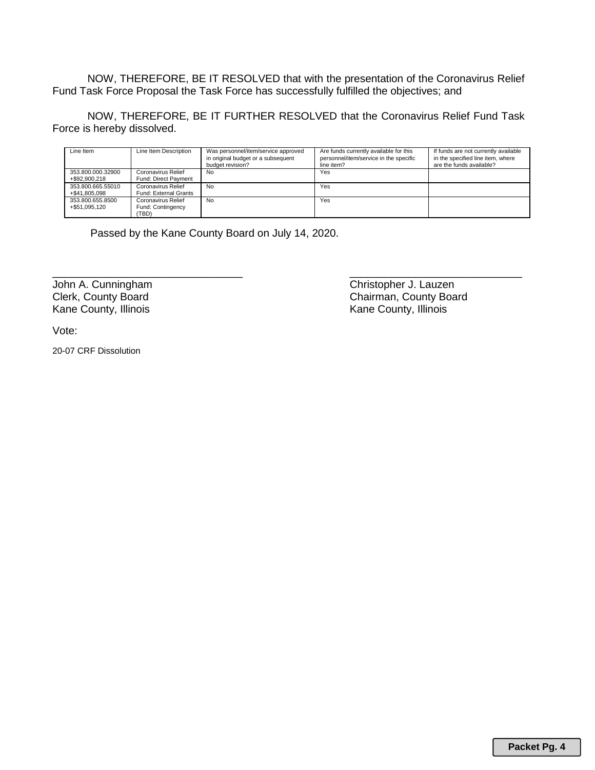NOW, THEREFORE, BE IT RESOLVED that with the presentation of the Coronavirus Relief Fund Task Force Proposal the Task Force has successfully fulfilled the objectives; and

NOW, THEREFORE, BE IT FURTHER RESOLVED that the Coronavirus Relief Fund Task Force is hereby dissolved.

| Line Item                          | Line Item Description                            | Was personnel/item/service approved<br>in original budget or a subsequent<br>budget revision? | Are funds currently available for this<br>personnel/item/service in the specific<br>line item? | If funds are not currently available<br>in the specified line item, where<br>are the funds available? |
|------------------------------------|--------------------------------------------------|-----------------------------------------------------------------------------------------------|------------------------------------------------------------------------------------------------|-------------------------------------------------------------------------------------------------------|
| 353.800.000.32900<br>+\$92,900,218 | Coronavirus Relief<br>Fund: Direct Payment       | No                                                                                            | Yes                                                                                            |                                                                                                       |
| 353.800.665.55010<br>+\$41.805.098 | Coronavirus Relief<br>Fund: External Grants      | No                                                                                            | Yes                                                                                            |                                                                                                       |
| 353.800.655.8500<br>+\$51.095.120  | Coronavirus Relief<br>Fund: Contingency<br>(TBD) | No                                                                                            | Yes                                                                                            |                                                                                                       |

\_\_\_\_\_\_\_\_\_\_\_\_\_\_\_\_\_\_\_\_\_\_\_\_\_\_\_\_\_\_\_\_ \_\_\_\_\_\_\_\_\_\_\_\_\_\_\_\_\_\_\_\_\_\_\_\_\_\_\_\_\_

Passed by the Kane County Board on July 14, 2020.

Kane County, Illinois

John A. Cunningham Christopher J. Lauzen<br>
Clerk, County Board<br>
Chairman, County Board Chairman, County Board<br>Kane County, Illinois

Vote:

20-07 CRF Dissolution